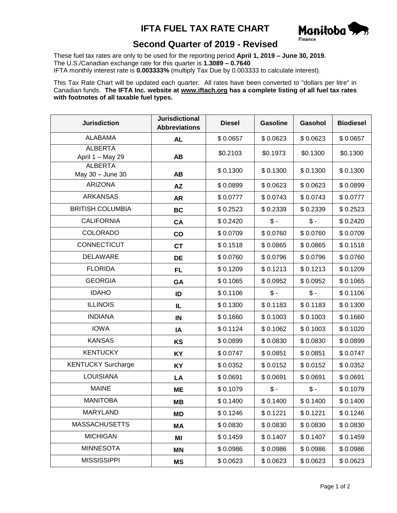## **IFTA FUEL TAX RATE CHART**



## **Second Quarter of 2019 - Revised**

These fuel tax rates are only to be used for the reporting period **April 1, 2019 – June 30, 2019.** The U.S./Canadian exchange rate for this quarter is **1.3089 – 0.7640** IFTA monthly interest rate is **0.003333%** (multiply Tax Due by 0.003333 to calculate interest).

This Tax Rate Chart will be updated each quarter. All rates have been converted to "dollars per litre" in Canadian funds. **The IFTA Inc. website at www.iftach.org has a complete listing of all fuel tax rates with footnotes of all taxable fuel types.**

| <b>Jurisdiction</b>                | <b>Jurisdictional</b><br><b>Abbreviations</b> | <b>Diesel</b> | <b>Gasoline</b> | Gasohol         | <b>Biodiesel</b> |
|------------------------------------|-----------------------------------------------|---------------|-----------------|-----------------|------------------|
| <b>ALABAMA</b>                     | <b>AL</b>                                     | \$0.0657      | \$0.0623        | \$0.0623        | \$0.0657         |
| <b>ALBERTA</b><br>April 1 - May 29 | <b>AB</b>                                     | \$0.2103      | \$0.1973        | \$0.1300        | \$0.1300         |
| <b>ALBERTA</b><br>May 30 - June 30 | <b>AB</b>                                     | \$0.1300      | \$0.1300        | \$0.1300        | \$0.1300         |
| <b>ARIZONA</b>                     | <b>AZ</b>                                     | \$0.0899      | \$0.0623        | \$0.0623        | \$0.0899         |
| <b>ARKANSAS</b>                    | <b>AR</b>                                     | \$0.0777      | \$0.0743        | \$0.0743        | \$0.0777         |
| <b>BRITISH COLUMBIA</b>            | <b>BC</b>                                     | \$0.2523      | \$0.2339        | \$0.2339        | \$0.2523         |
| <b>CALIFORNIA</b>                  | CA                                            | \$0.2420      | $\mathsf{\$}$ - | $\frac{1}{2}$   | \$0.2420         |
| <b>COLORADO</b>                    | co                                            | \$0.0709      | \$0.0760        | \$0.0760        | \$0.0709         |
| <b>CONNECTICUT</b>                 | <b>CT</b>                                     | \$0.1518      | \$0.0865        | \$0.0865        | \$0.1518         |
| <b>DELAWARE</b>                    | DE                                            | \$0.0760      | \$0.0796        | \$0.0796        | \$0.0760         |
| <b>FLORIDA</b>                     | <b>FL</b>                                     | \$0.1209      | \$0.1213        | \$0.1213        | \$0.1209         |
| <b>GEORGIA</b>                     | GA                                            | \$0.1065      | \$0.0952        | \$0.0952        | \$0.1065         |
| <b>IDAHO</b>                       | ID                                            | \$0.1106      | $\frac{1}{2}$   | $\frac{2}{3}$ - | \$0.1106         |
| <b>ILLINOIS</b>                    | IL                                            | \$0.1300      | \$0.1183        | \$0.1183        | \$0.1300         |
| <b>INDIANA</b>                     | IN                                            | \$0.1660      | \$0.1003        | \$0.1003        | \$0.1660         |
| <b>IOWA</b>                        | IA                                            | \$0.1124      | \$0.1062        | \$0.1003        | \$0.1020         |
| <b>KANSAS</b>                      | KS                                            | \$0.0899      | \$0.0830        | \$0.0830        | \$0.0899         |
| <b>KENTUCKY</b>                    | <b>KY</b>                                     | \$0.0747      | \$0.0851        | \$0.0851        | \$0.0747         |
| <b>KENTUCKY Surcharge</b>          | KY                                            | \$0.0352      | \$0.0152        | \$0.0152        | \$0.0352         |
| <b>LOUISIANA</b>                   | LA                                            | \$0.0691      | \$0.0691        | \$0.0691        | \$0.0691         |
| <b>MAINE</b>                       | ME                                            | \$0.1079      | $$ -$           | $$ -$           | \$0.1079         |
| <b>MANITOBA</b>                    | MВ                                            | \$0.1400      | \$0.1400        | \$0.1400        | \$0.1400         |
| MARYLAND                           | ΜD                                            | \$0.1246      | \$0.1221        | \$0.1221        | \$0.1246         |
| <b>MASSACHUSETTS</b>               | МA                                            | \$0.0830      | \$0.0830        | \$0.0830        | \$0.0830         |
| <b>MICHIGAN</b>                    | ΜI                                            | \$0.1459      | \$0.1407        | \$0.1407        | \$0.1459         |
| <b>MINNESOTA</b>                   | <b>MN</b>                                     | \$0.0986      | \$0.0986        | \$0.0986        | \$0.0986         |
| <b>MISSISSIPPI</b>                 | <b>MS</b>                                     | \$0.0623      | \$0.0623        | \$0.0623        | \$0.0623         |